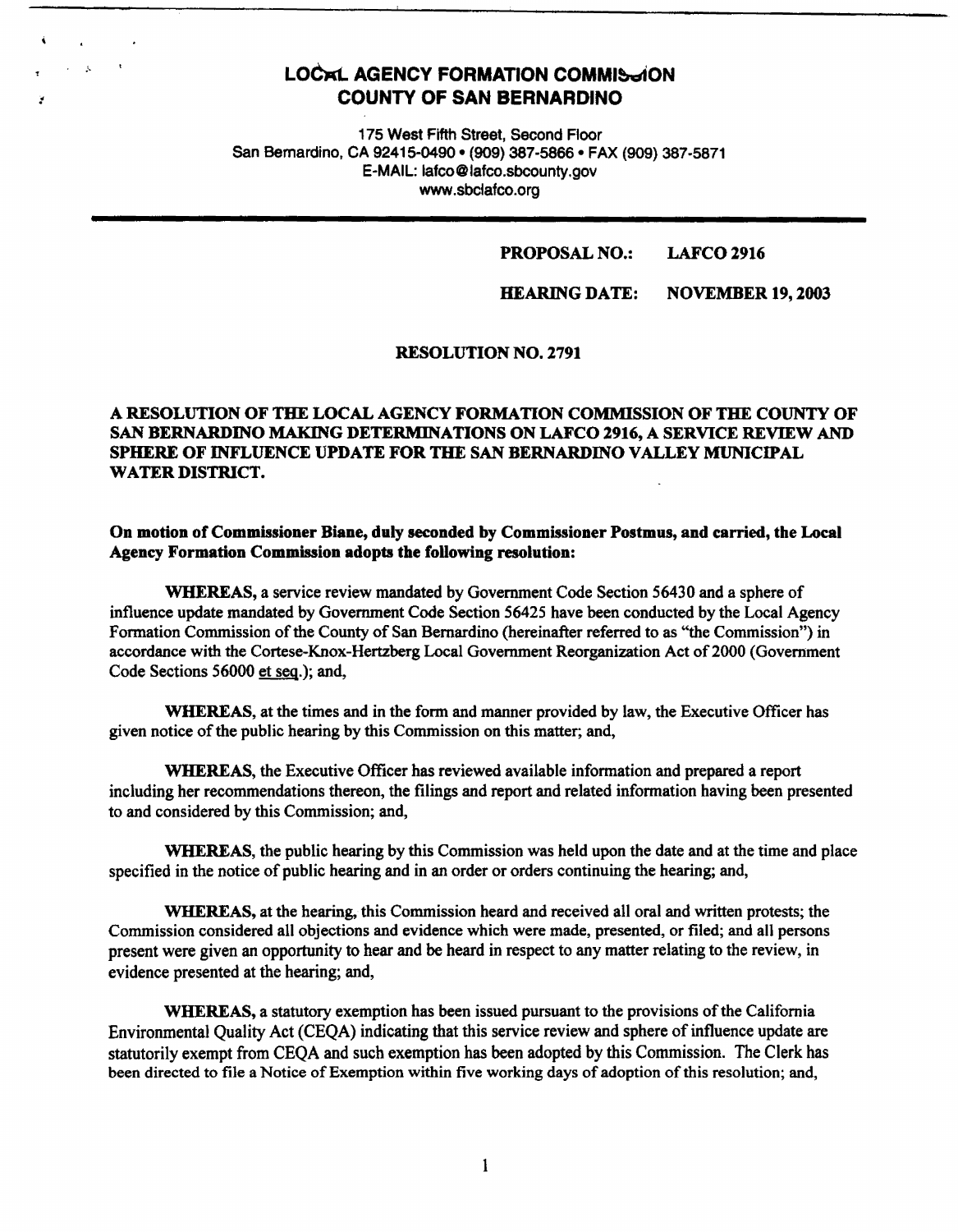# **LOCAL AGENCY FORMATION COMMIS-JON COUNTY OF SAN BERNARDINO**

*f* 

175 West Fifth Street, Second Floor San Bernardino, CA 92415-0490 • (909) 387-5866 • FAX (909) 387-5871 E-MAIL: lafco@lafco.sbcounty.gov www.sbclafco.org

#### **PROPOSAL NO.: LAFCO2916**

**HEARING DATE: NOVEMBER 19, 2003** 

#### **RESOLUTION NO. 2791**

# **A RESOLUTION OF THE LOCAL AGENCY FORMATION COMMISSION OF THE COUNTY OF SAN BERNARDINO MAKING DETERMINATIONS ON LAFCO 2916, A SERVICE REVIEW AND SPHERE OF INFLUENCE UPDATE FOR THE SAN BERNARDINO VALLEY MUNICIPAL WATER DISTRICT.**

# **On motion of Commissioner Diane, duly seconded by Commissioner Postmus, and carried, the Local Agency Formation Commission adopts the following resolution:**

**WHEREAS,** a service review mandated by Government Code Section 56430 and a sphere of influence update mandated by Government Code Section 56425 have been conducted by the Local Agency Formation Commission of the County of San Bernardino (hereinafter referred to as "the Commission") in accordance with the Cortese-Knox-Hertzberg Local Government Reorganization Act of 2000 (Government Code Sections 56000 et seq.); and,

**WHEREAS,** at the times and in the form and manner provided by law, the Executive Officer has given notice of the public hearing by this Commission on this matter; and,

**WHEREAS,** the Executive Officer has reviewed available information and prepared a report including her recommendations thereon, the filings and report and related information having been presented to and considered by this Commission; and,

**WHEREAS,** the public hearing by this Commission was held upon the date and at the time and place specified in the notice of public hearing and in an order or orders continuing the hearing; and,

**WHEREAS,** at the hearing, this Commission heard and received all oral and written protests; the Commission considered all objections and evidence which were made, presented, or filed; and all persons present were given an opportunity to hear and be heard in respect to any matter relating to the review, in evidence presented at the hearing; and,

**WHEREAS,** a statutory exemption has been issued pursuant to the provisions of the California Environmental Quality Act (CEQA) indicating that this service review and sphere of influence update are statutorily exempt from CEQA and such exemption has been adopted by this Commission. The Clerk has been directed to file a Notice of Exemption within five working days of adoption of this resolution; and,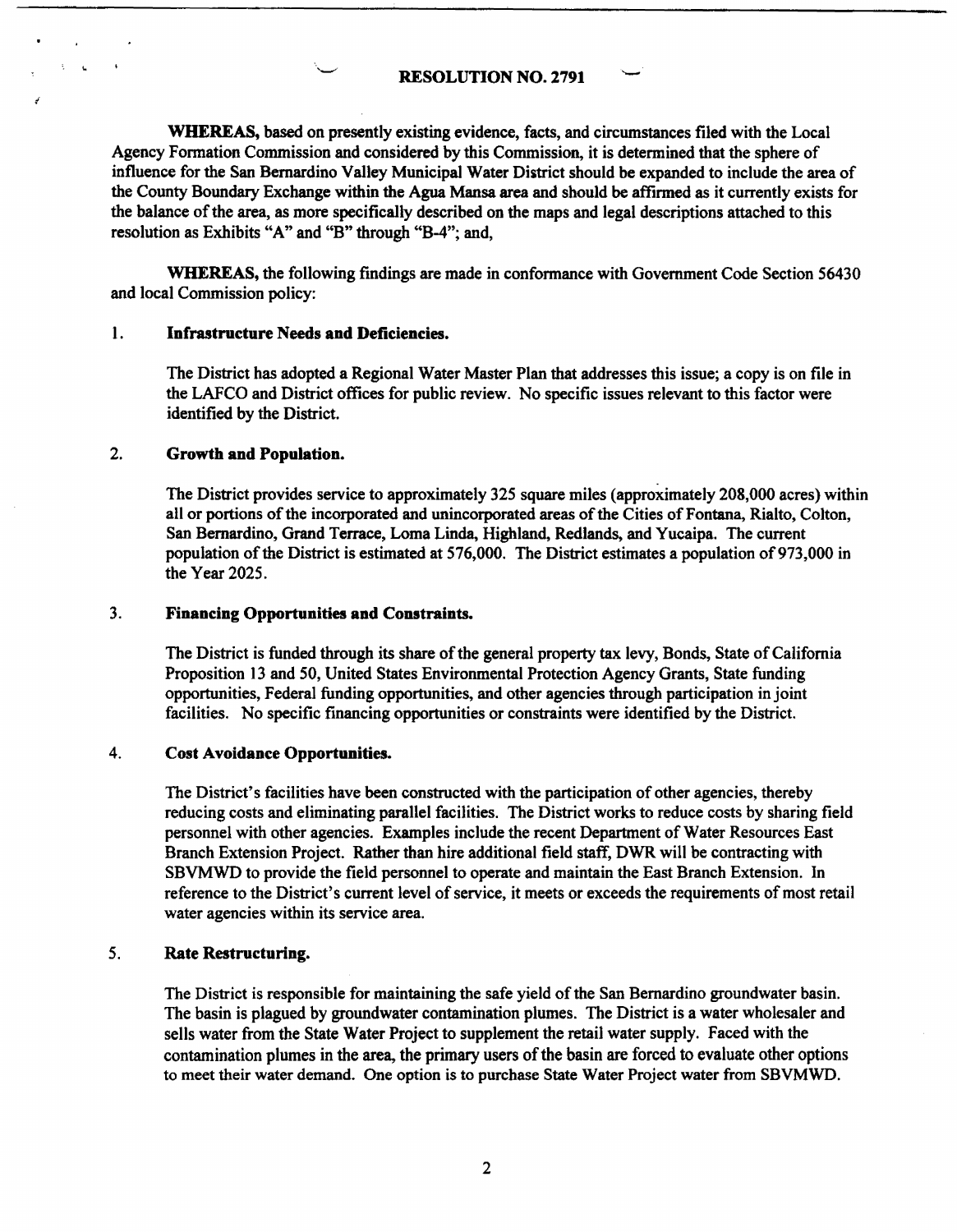## **RESOLUTION NO. 2791**

WHEREAS, based on presently existing evidence, facts, and circumstances filed with the Local Agency Formation Commission and considered by this Commission, it is determined that the sphere of influence for the San Bernardino Valley Municipal Water District should be expanded to include the area of the County Boundary Exchange within the **Agua Mansa area** and should be affirmed as it currently exists for the balance of the area, as more specifically described on the maps and legal descriptions attached to this resolution as Exhibits "A" and "B" through "B-4"; and,

**WHEREAS,** the following fmdings are made in conformance with Government Code Section 56430 and local Commission policy:

# 1. **Infrastructure Needs and Deficiencies.**

The District has adopted a Regional Water Master Plan that addresses this issue; a copy is on file in the LAFCO and District offices for public review. No specific issues relevant to this factor were identified by the District.

#### 2. **Growth and Population.**

*f* 

The District provides service to approximately 325 square miles (approximately 208,000 acres) within all or portions of the incorporated and unincorporated areas of the Cities of Fontana, Rialto, Colton, San Bernardino, Grand Terrace, Loma Linda, Highland, Redlands, and Yucaipa. The current population of the District is estimated at 576,000. The District estimates a population of 973,000 in the Year 2025.

#### 3. **Financing Opportunities and Constraints.**

The District is funded through its share of the general property tax levy, Bonds, State of California Proposition 13 and SO, United States Environmental Protection Agency Grants, State funding opportunities, Federal funding opportunities, and other agencies through participation in joint facilities. No specific financing opportunities or constraints were identified by the District.

#### 4. Cost **Avoidance Opportunities.**

The District's facilities have been constructed with the participation of other agencies, thereby reducing costs and eliminating parallel facilities. The District works to reduce costs by sharing field personnel with other agencies. Examples include the recent Department of Water Resources East Branch Extension Project. Rather than hire additional field staff, DWR will be contracting with SBVMWD to provide the field personnel to operate and maintain the East Branch Extension. In reference to the District's current level of service, it meets or exceeds the requirements of most retail water agencies within its service area.

#### 5. **Rate Restructuring.**

The District is responsible for maintaining the safe yield of the San Bernardino groundwater basin. The basin is plagued by groundwater contamination plumes. The District is a water wholesaler and sells water from the State Water Project to supplement the retail water supply. Faced with the contamination plumes in the area, the primary users of the basin are forced to evaluate other options to meet their water demand. One option is to purchase State Water Project water from SBVMWD.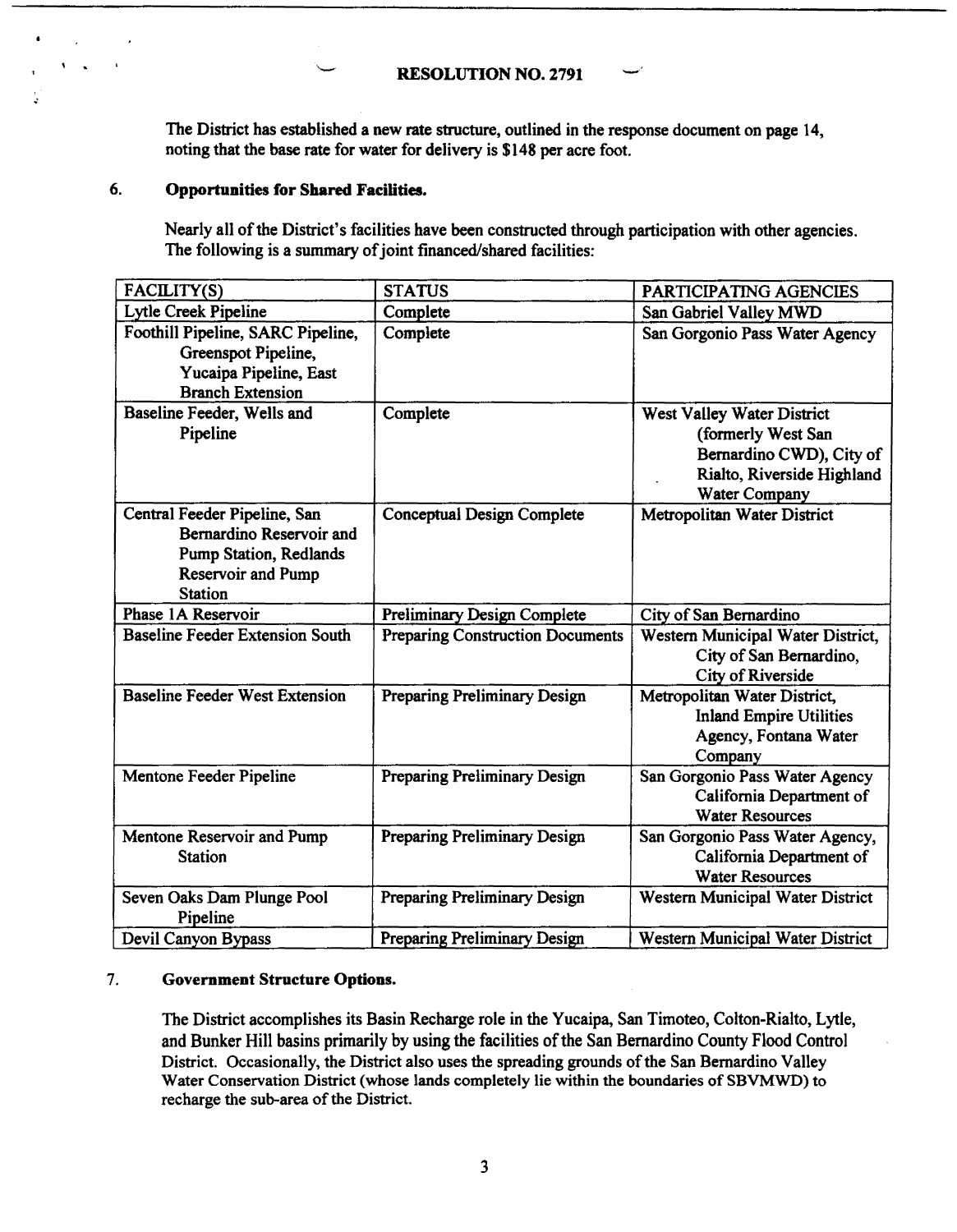The District has established a new rate structure, outlined in the response document on page 14, noting that the base rate for water for delivery is \$148 per acre foot.

#### 6. **Opportunities for Shared Facilities.**

Nearly all of the District's facilities have been constructed through participation with other agencies. The following is a summary of joint financed/shared facilities:

| FACILITY(S)                                                                                                                       | <b>STATUS</b>                           | PARTICIPATING AGENCIES                                                                                                             |
|-----------------------------------------------------------------------------------------------------------------------------------|-----------------------------------------|------------------------------------------------------------------------------------------------------------------------------------|
| Lytle Creek Pipeline                                                                                                              | Complete                                | San Gabriel Valley MWD                                                                                                             |
| Foothill Pipeline, SARC Pipeline,<br>Greenspot Pipeline,<br>Yucaipa Pipeline, East<br><b>Branch Extension</b>                     | Complete                                | San Gorgonio Pass Water Agency                                                                                                     |
| Baseline Feeder, Wells and<br>Pipeline                                                                                            | Complete                                | West Valley Water District<br>(formerly West San<br>Bernardino CWD), City of<br>Rialto, Riverside Highland<br><b>Water Company</b> |
| Central Feeder Pipeline, San<br>Bernardino Reservoir and<br><b>Pump Station, Redlands</b><br>Reservoir and Pump<br><b>Station</b> | Conceptual Design Complete              | Metropolitan Water District                                                                                                        |
| Phase 1A Reservoir                                                                                                                | <b>Preliminary Design Complete</b>      | City of San Bernardino                                                                                                             |
| <b>Baseline Feeder Extension South</b>                                                                                            | <b>Preparing Construction Documents</b> | Western Municipal Water District,<br>City of San Bernardino,<br>City of Riverside                                                  |
| <b>Baseline Feeder West Extension</b>                                                                                             | <b>Preparing Preliminary Design</b>     | Metropolitan Water District,<br><b>Inland Empire Utilities</b><br>Agency, Fontana Water<br>Company                                 |
| Mentone Feeder Pipeline                                                                                                           | <b>Preparing Preliminary Design</b>     | San Gorgonio Pass Water Agency<br>California Department of<br><b>Water Resources</b>                                               |
| Mentone Reservoir and Pump<br><b>Station</b>                                                                                      | Preparing Preliminary Design            | San Gorgonio Pass Water Agency,<br>California Department of<br><b>Water Resources</b>                                              |
| Seven Oaks Dam Plunge Pool<br>Pipeline                                                                                            | Preparing Preliminary Design            | Western Municipal Water District                                                                                                   |
| Devil Canyon Bypass                                                                                                               | Preparing Preliminary Design            | Western Municipal Water District                                                                                                   |

#### 7. **Government Structure Options.**

The District accomplishes its Basin Recharge role in the Yucaipa, San Timoteo, Colton-Rialto, Lytle, and Bunker Hill basins primarily by using the facilities of the San Bernardino County Flood Control District. Occasionally, the District also uses the spreading grounds of the San Bernardino Valley Water Conservation District (whose lands completely lie within the boundaries of SBVMWD) to recharge the sub-area of the District.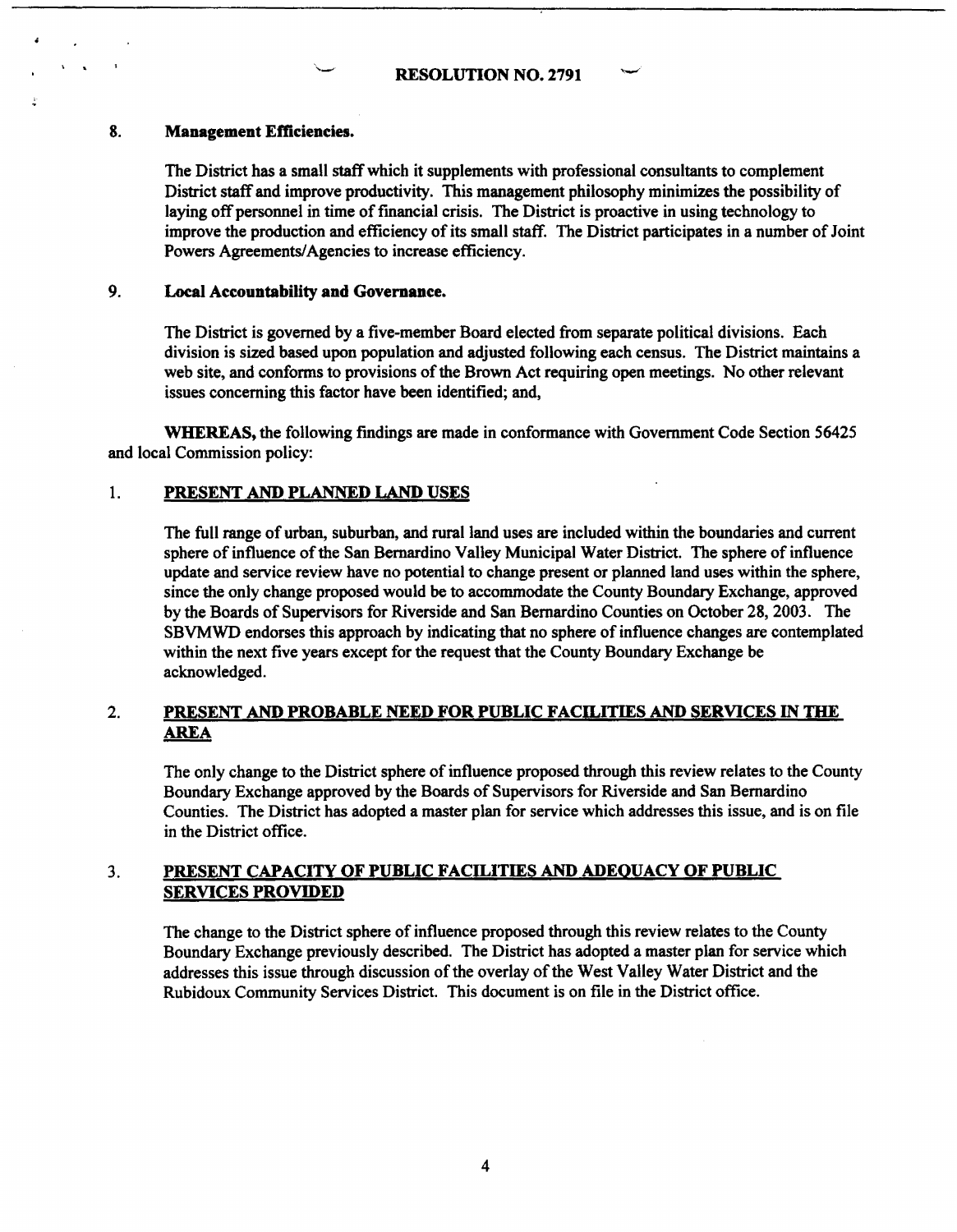RESOLUTION NO. 2791

# 8. **Management Efficiencies.**

The District has a small staff which it supplements with professional consultants to complement District staff and improve productivity. This management philosophy minimizes the possibility of laying off personnel in time of financial crisis. The District is proactive in using technology to improve the production and efficiency of its small staff. The District participates in a number of Joint Powers Agreements/Agencies to increase efficiency.

#### 9. **Local Accountability and Governance.**

The District is governed by a five-member Board elected from separate political divisions. Each division is sized based upon population and adjusted following each census. The District maintains a web site, and conforms to provisions of the Brown Act requiring open meetings. No other relevant issues concerning this factor have been identified; and,

**WHEREAS,** the following findings are made in conformance with Government Code Section 56425 and local Commission policy:

# 1. **PRESENT AND PLANNED LAND USES**

The full range of urban, suburban, and rural land uses are included within the boundaries and current sphere of influence of the San Bernardino Valley Municipal Water District. The sphere of influence update and service review have no potential to change present or planned land uses within the sphere, since the only change proposed would be to accommodate the County Boundary Exchange, approved by the Boards of Supervisors for Riverside and San Bernardino Counties on October 28, 2003. The SBVMWD endorses this approach by indicating that no sphere of influence changes are contemplated within the next five years except for the request that the County Boundary Exchange be acknowledged.

# 2. **PRESENT AND PROBABLE NEED FOR PUBLIC FACILITIES AND SERVICES** IN **THE AREA**

The only change to the District sphere of influence proposed through this review relates to the County Boundary Exchange approved by the Boards of Supervisors for Riverside and San Bernardino Counties. The District has adopted a master plan for service which addresses this issue, and is on file in the District office.

#### 3. **PRESENT CAPACITY OF PUBLIC FACILITIES AND ADEQUACY OF PUBLIC SERVICES PROVIDED**

The change to the District sphere of influence proposed through this review relates to the County Boundary Exchange previously described. The District has adopted a master plan for service which addresses this issue through discussion of the overlay of the West Valley Water District and the Rubidoux Community Services District. This document is on file in the District office.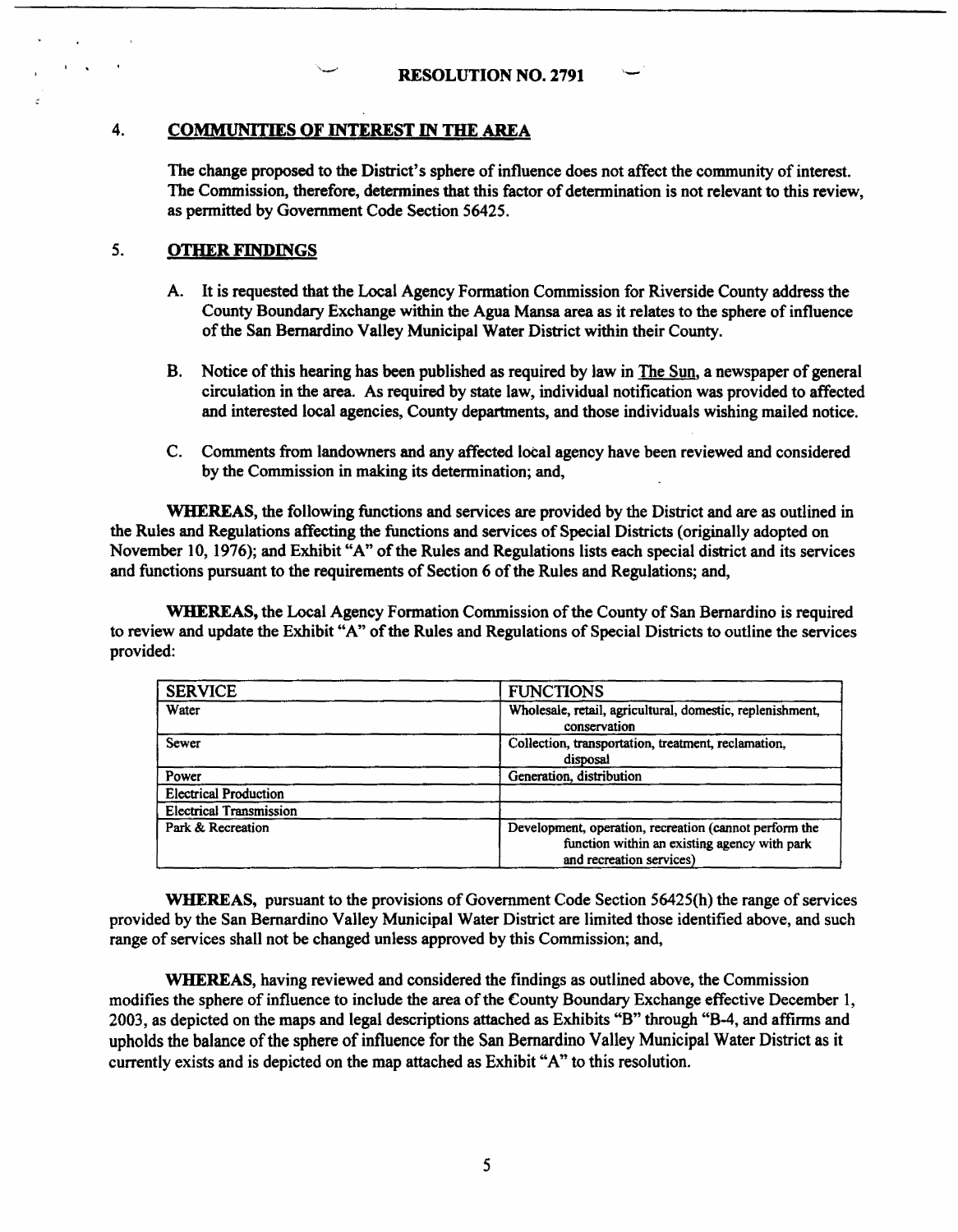# 4. **COMMUNITIES OF INTEREST** IN **THE AREA**

The change proposed to the District's sphere of influence does not affect the community of interest. The Commission, therefore, determines that this factor of determination is not relevant to this review, as permitted by Government Code Section 56425.

# 5. **OTHER FINDINGS**

- A. It is requested that the Local Agency Formation Commission for Riverside County address the County Boundary Exchange within the Agua Mansa area as it relates to the sphere of influence of the San Bernardino Valley Municipal Water District within their County.
- B. Notice of this hearing has been published as required by law in The Sun, a newspaper of general circulation in the area. As required by state law, individual notification was provided to affected and interested local agencies, County departments, and those individuals wishing mailed notice.
- C. Comments from landowners and any affected local agency have been reviewed and considered by the Commission in making its determination; and,

**WHEREAS,** the following functions and services are provided by the District and are as outlined in the Rules and Regulations affecting the functions and services of Special Districts ( originally adopted on November 10, 1976); and Exhibit "A" of the Rules and Regulations lists each special district and its services and functions pursuant to the requirements of Section 6 of the Rules and Regulations; and,

**WHEREAS,** the Local Agency Formation Commission of the County of San Bernardino is required to review and update the Exhibit "A" of the Rules and Regulations of Special Districts to outline the services provided:

| <b>SERVICE</b>                 | <b>FUNCTIONS</b>                                                                                                                   |  |
|--------------------------------|------------------------------------------------------------------------------------------------------------------------------------|--|
| Water                          | Wholesale, retail, agricultural, domestic, replenishment,<br>conservation                                                          |  |
| Sewer                          | Collection, transportation, treatment, reclamation,<br>disposal                                                                    |  |
| Power                          | Generation, distribution                                                                                                           |  |
| <b>Electrical Production</b>   |                                                                                                                                    |  |
| <b>Electrical Transmission</b> |                                                                                                                                    |  |
| Park & Recreation              | Development, operation, recreation (cannot perform the<br>function within an existing agency with park<br>and recreation services) |  |

**WHEREAS,** pursuant to the provisions of Government Code Section 56425(h) the range of services provided by the San Bernardino Valley Municipal Water District are limited those identified above, and such range of services shall not be changed unless approved by this Commission; and,

**WHEREAS,** having reviewed and considered the findings as outlined above, the Commission modifies the sphere of influence to include the area of the County Boundary Exchange effective December 1, 2003, as depicted on the maps and legal descriptions attached as Exhibits "B" through "B-4, and affirms and upholds the balance of the sphere of influence for the San Bernardino Valley Municipal Water District as it currently exists and is depicted on the map attached as Exhibit "A" to this resolution.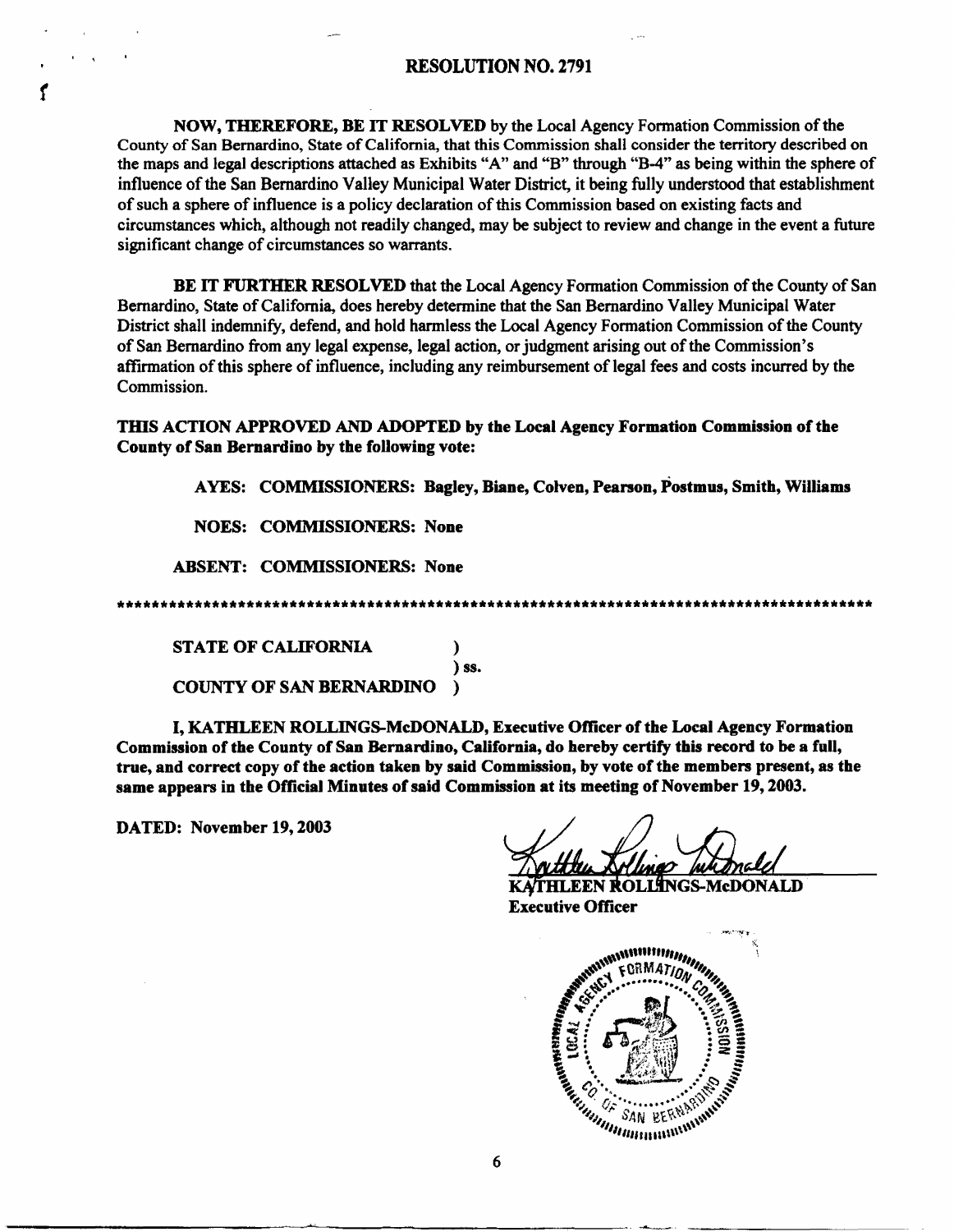**NOW, THEREFORE, BE** IT **RESOLVED** by the Local Agency Formation Commission of the County of San Bernardino, State of California, that this Commission shall consider the territory described on the maps and legal descriptions attached as Exhibits "A" and "B" through "B-4" as being within the sphere of influence of the San Bernardino Valley Municipal Water District, it being fully understood that establishment of such a sphere of influence is a policy declaration of this Commission based on existing facts and circumstances which, although not readily changed, may be subject to review and change in the event a future significant change of circumstances so warrants.

**BE** IT **FURTHER RESOLVED** that the Local Agency Formation Commission of the County of San Bernardino, State of California, does hereby determine that the San Bernardino Valley Municipal Water District shall indemnify, defend, and hold harmless the Local Agency Formation Commission of the County of San Bernardino from any legal expense, legal action, or judgment arising out of the Commission's affirmation of this sphere of influence, including any reimbursement of legal fees and costs incurred by the Commission.

**THIS ACTION APPROVED AND ADOPTED by the Local Agency Formation Commission of the County of San Bernardino by the following vote:** 

A YES: COMMISSIONERS: Bagley, **Diane,** Colven, Pearson, Postmus, Smith, Williams

NOES: COMMISSIONERS: None

ABSENT: COMMISSIONERS: None

\*\*\*\*\*\*\*\*\*\*\*\*\*\*\*\*\*\*\*\*\*\*\*\*\*\*\*\*\*\*\*\*\*\*\*\*\*\*\*\*\*\*\*\*\*\*\*\*\*\*\*\*\*\*\*\*\*\*\*\*\*\*\*\*\*\*\*\*\*\*\*\*\*\*\*\*\*\*\*\*\*\*\*\*\*\*\*\*

STATE OF CALIFORNIA (1) ) ss. COUNTY OF SAN BERNARDINO )

I, KATHLEEN ROLLINGS-McDONALD, Executive Officer of the Local Agency Formation Commission of the County of San Bernardino, California, do hereby certify this record to be a full, true, and correct copy of the action taken by said Commission, by vote of the members present, as the same appears in the Official Minutes of said Commission at its meeting of November 19, 2003.

DATED: November 19, 2003

r

**OLLINGS-McDONALD** HIJEEN Executive Officer



6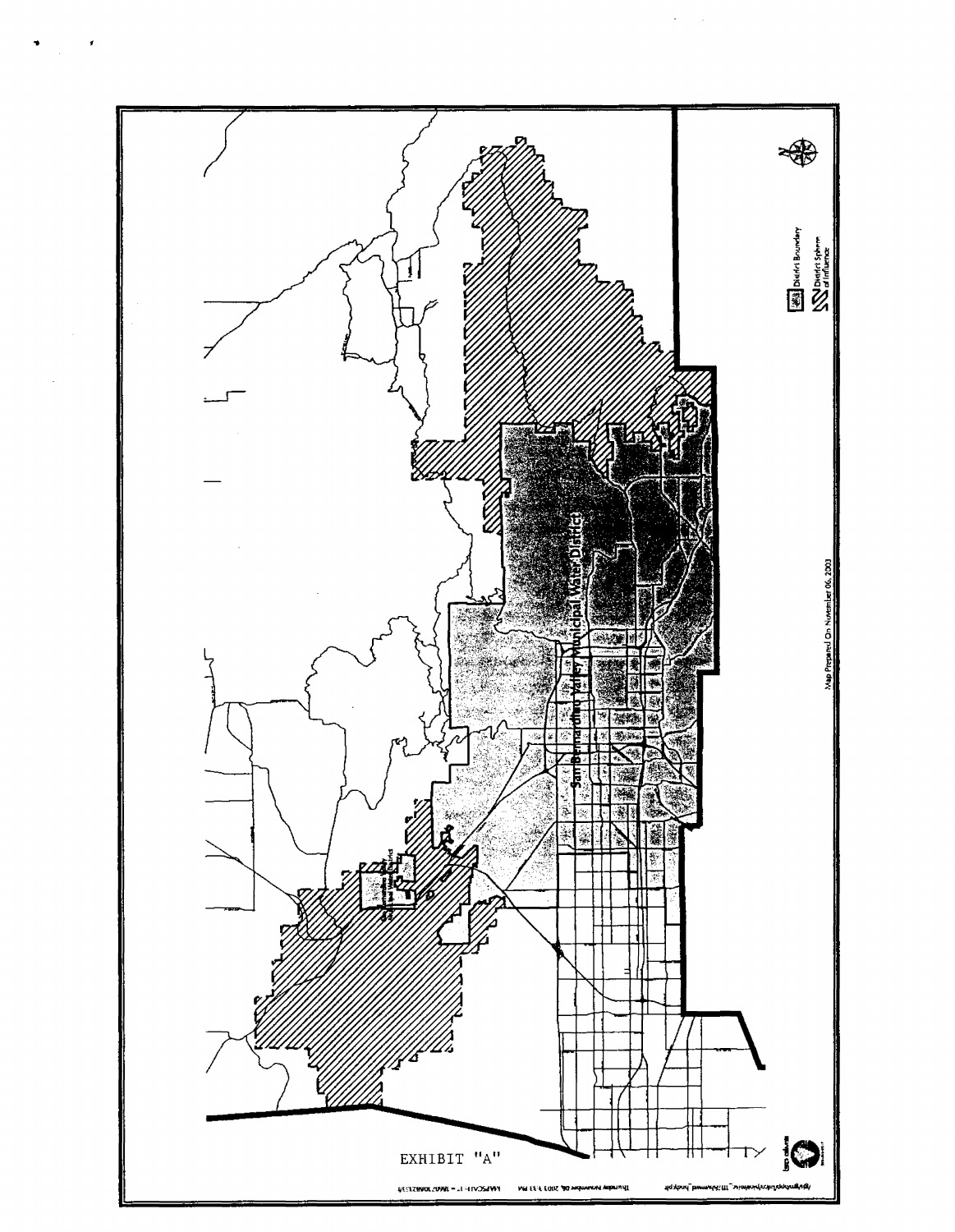

 $\overline{\phantom{a}}$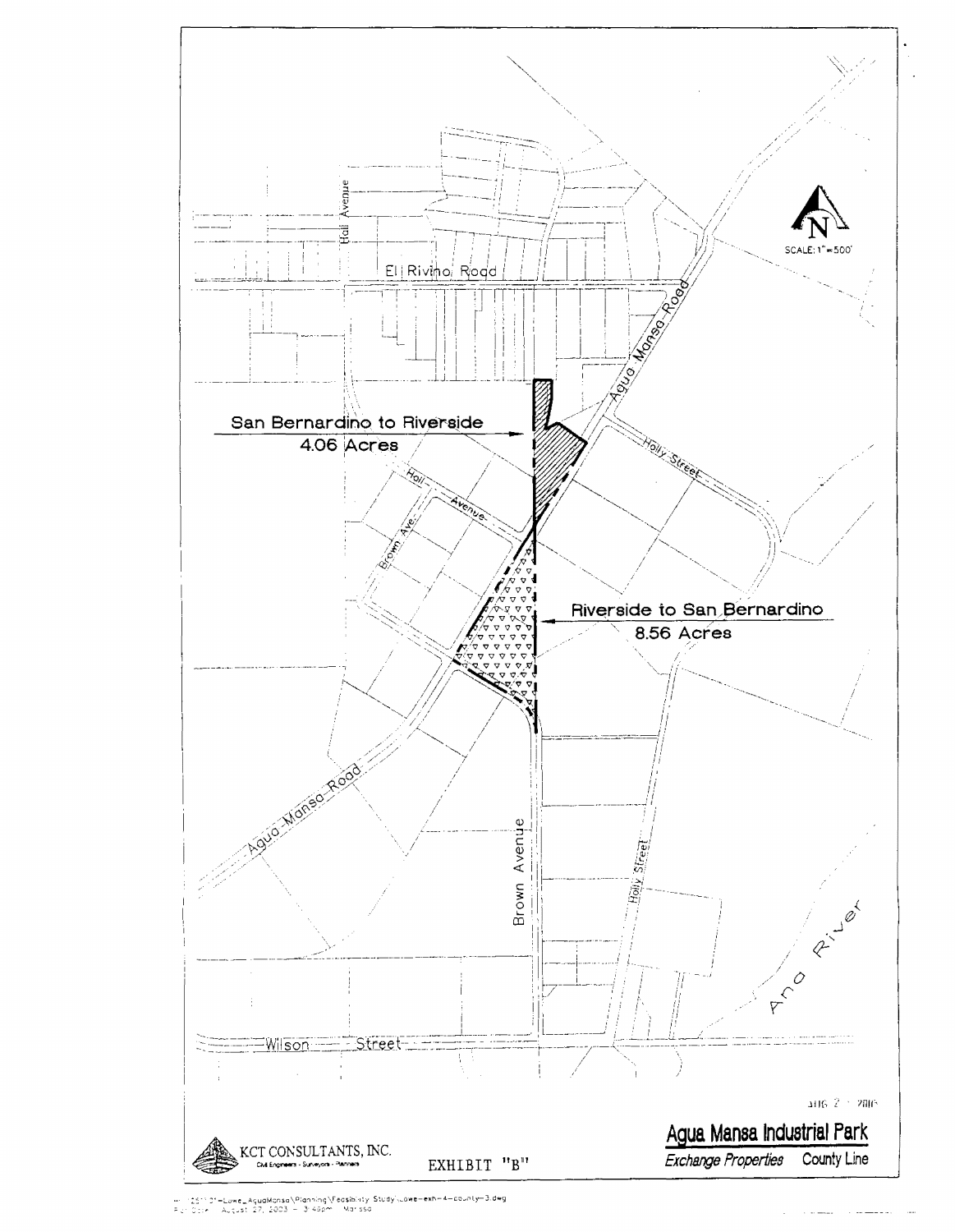

r2511-21-Lowe\_AguaMansaNPianning\Feasibility-Study\Lowe=exh=4=county=3.dwg<br>|0116 || August 27, 2003 = 3143pm || Marissa g.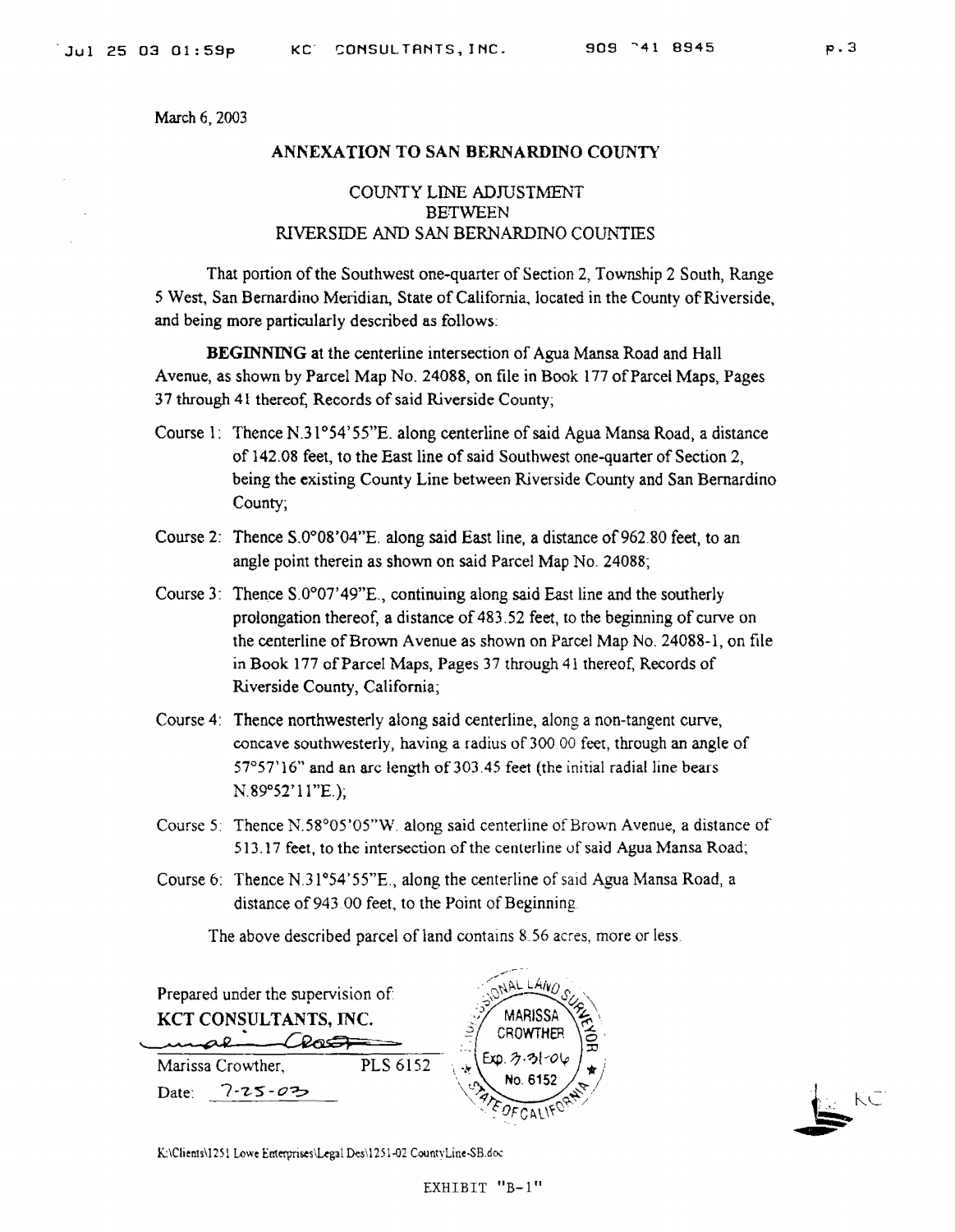March 6, 2003

#### **ANNEXATION TO SAN BERNARDINO COUNTI'**

# COUNTY LINE ADJUSTMENT **BETWEEN** RIVERSIDE AND SAN BERNARDINO COUNTIES

That portion of the Southwest one-quarter of Section 2, Township 2 South, Range 5 West, San Bernardino Meridian, State of California, located in the County of Riverside, and being more particularly described as follows:

**BEGINNING** at the centerline intersection of Agua Mansa Road and Hall Avenue, as shown by Parcel Map No. 24088, on file in Book l 77 of Parcel Maps, Pages 3 7 through 41 thereof; Records of said Riverside County;

- Course l: Thence N.31 °54' 55"E. along centerline of said Agua Mansa Road, a distance of 142.08 feet, to the East line of said Southwest one-quarter of Section 2, being the existing County Line between Riverside County and San Bernardino County;
- Course 2: Thence S.0°08'04"E. along said East line, a distance of 962.80 feet, to an angle point therein as shown on said Parcel Map No. 24088;
- Course 3: Thence  $S.0^{\circ}07'49''E$ ., continuing along said East line and the southerly prolongation thereof, a distance of 483. 52 feet, to the beginning of curve on the centerline of Brown Avenue as shown on Parcel Map No. 24088-1, on file in Book 177 of Parcel Maps, Pages 37 through 41 thereof, Records of Riverside County, California;
- Course 4: Thence northwesterly along said centerline, along a non-tangent curve, concave southwesterly, having a radius of 300 00 feet, through an angle of 57°57' 16" and an arc length of 303 .45 feet (the initial radial line bears N.89°52'11"E.);
- Course 5: Thence N.58°05'05"W. along said centerline of Brown Avenue, a distance of 513.17 feet, to the intersection of the centerline of said Agua Mansa Road;
- Course 6: Thence N.31°54'55"E., along the centerline of said Agua Mansa Road, a distance of 943.00 feet, to the Point of Beginning.

The above described parcel of land contains 8.56 acres, more or less.

| Prepared under the supervision of:          |          | <b>MARISSA</b>                   |
|---------------------------------------------|----------|----------------------------------|
| KCT CONSULTANTS, INC.                       |          | <b>CROWTHER</b>                  |
| Marissa Crowther,<br>$1 - 25 - 03$<br>Date: | PLS 6152 | $En. 7.31 - 06$<br>會<br>No. 6152 |

KŪ

K:\Clients\1251 Lowe Enterprises\Legal Des\1251-02 CountyLine-SB.doc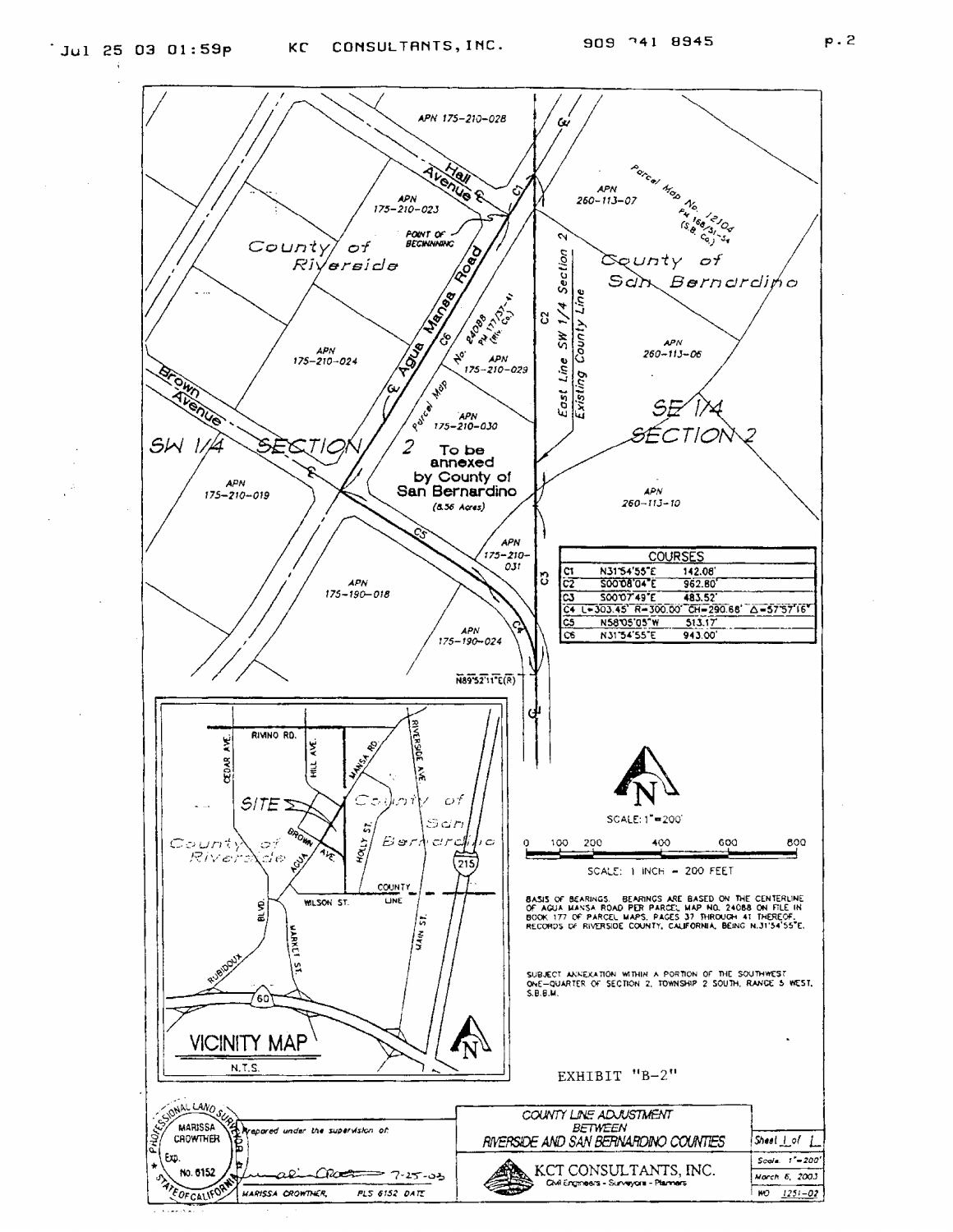

 $p.2$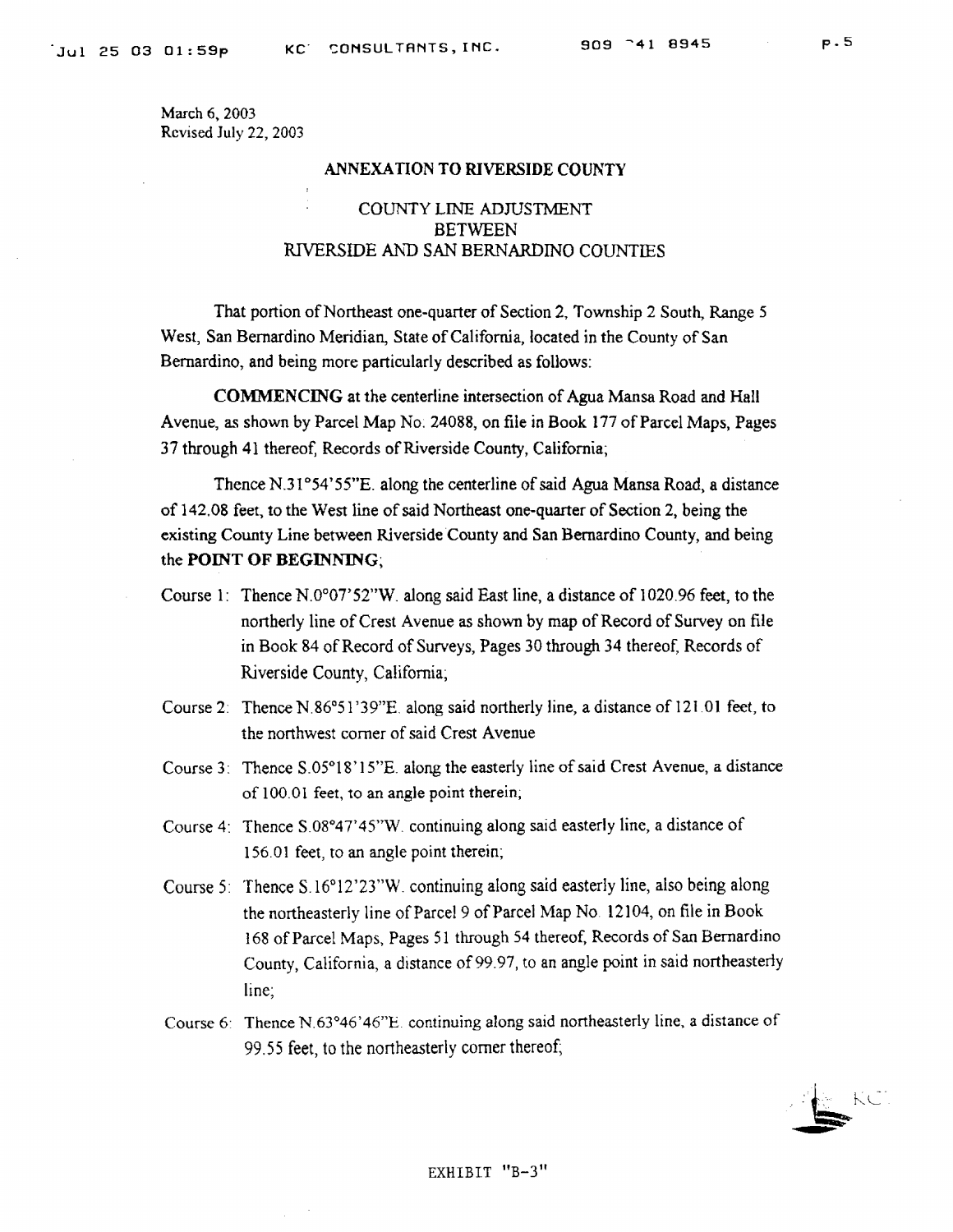March 6, 2003 Revised July 22, 2003

#### **ANNEXATION TO RIVERSIDE COUNTY**

# COUNTY LINE ADJUSTMENT BETWEEN RIVERSIDE AND SAN BERNARDINO COUNTIES

That portion of Northeast one-quarter of Section 2, Township 2 South, Range 5 West, San Bernardino Meridian. State of California, located in the County of San Bernardino, and being more particularly described as follows:

**COMMENCING** at the centerline intersection of Agua Mansa Road and Hall Avenue, as shown by Parcel Map No: 24088, on file in Book 177 of Parcel Maps, Pages 37 through 41 thereof, Records of Riverside County, California;

Thence N.31 °54'55"E. along the centerline of said Agua Mansa Road, a distance of 142.08 feet, to the West line of said Northeast one-quarter of Section 2, being the existing County Line between Riverside County and San Bernardino County, and being the **POINT OF BEGINNING**;

- Course 1: Thence  $N.0^{\circ}07'52''W$ . along said East line, a distance of 1020.96 feet, to the northerly line of Crest Avenue as shown by map of Record of Survey on file in Book 84 of Record of Surveys, Pages 30 through 34 thereof, Records of Riverside County, California;
- Course 2: Thence N.86°51 '39"£. along said northerly line, a distance of 121.01 feet, to the northwest comer of said Crest Avenue
- Course 3: Thence  $S.05^{\circ}18'15''E$ . along the easterly line of said Crest Avenue, a distance of 100.01 feet, to an angle point therein;
- Course 4: Thence S.08°47'45"W. continuing along said easterly line, a distance of 156.01 feet, to an angle point therein;
- Course 5: Thence S.16°12'23"W. continuing along said easterly line, also being along the northeasterly line of Parcel 9 of Parcel Map No 12104, on file in Book 168 of Parcel Maps, Pages 51 through 54 thereof, Records of San Bernardino County, California, a distance of 99.97, to an angle point in said northeasterly line;
- Course 6: Thence N.63°46'46"E. continuing along said northeasterly line, a distance of 99 .55 feet, to the northeasterly comer thereof;

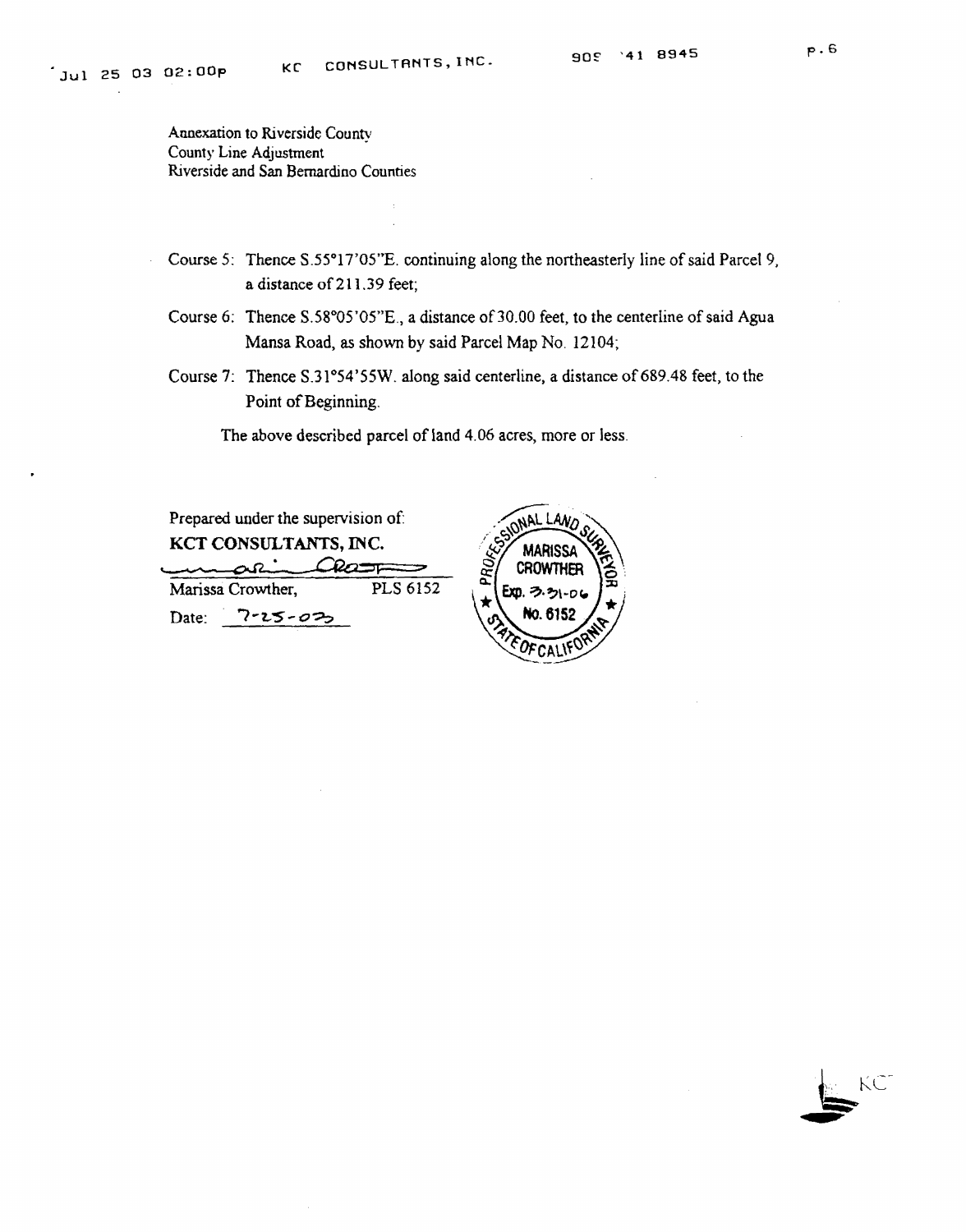Annexation to Riverside County County Line Adjustment Riverside and San Bernardino Counties

- Course 5: Thence S.55°17'05"£. continuing along the northeasterly line of said Parcel 9, a distance of 211.39 feet;
- Course 6: Thence S.58°05'05"E., a distance of 30.00 feet, to the centerline of said Agua Mansa Road, as shown by said Parcel Map No. 12104;
- Course 7: Thence S.31°54'55W. along said centerline, a distance of 689.48 feet, to the Point of Beginning.

The above described parcel of land 4.06 acres, more or less.

Prepared under the supervision of: **KCT CONSULTANTS,** INC.

Crcz  $\sim$  $\Omega$ Marissa Crowther, PLS 6152 Date: 7-25-07